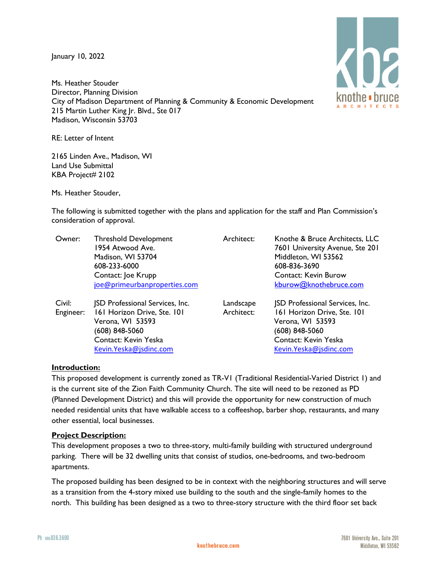January 10, 2022

Ms. Heather Stouder Director, Planning Division City of Madison Department of Planning & Community & Economic Development 215 Martin Luther King Jr. Blvd., Ste 017 Madison, Wisconsin 53703

RE: Letter of Intent

2165 Linden Ave., Madison, WI Land Use Submittal KBA Project# 2102

Ms. Heather Stouder,

The following is submitted together with the plans and application for the staff and Plan Commission's consideration of approval.

| Owner:              | <b>Threshold Development</b><br>1954 Atwood Ave.<br>Madison, WI 53704<br>608-233-6000<br>Contact: Joe Krupp<br>joe@primeurbanproperties.com                    | Architect:              | Knothe & Bruce Architects, LLC<br>7601 University Avenue, Ste 201<br>Middleton, WI 53562<br>608-836-3690<br><b>Contact: Kevin Burow</b><br>kburow@knothebruce.com |
|---------------------|----------------------------------------------------------------------------------------------------------------------------------------------------------------|-------------------------|-------------------------------------------------------------------------------------------------------------------------------------------------------------------|
| Civil:<br>Engineer: | <b>JSD Professional Services, Inc.</b><br>161 Horizon Drive, Ste. 101<br>Verona, WI 53593<br>(608) 848-5060<br>Contact: Kevin Yeska<br>Kevin. Yeska@jsdinc.com | Landscape<br>Architect: | <b>JSD Professional Services, Inc.</b><br>161 Horizon Drive, Ste. 101<br>Verona, WI 53593<br>(608) 848-5060<br>Contact: Kevin Yeska<br>Kevin.Yeska@jsdinc.com     |

## **Introduction:**

This proposed development is currently zoned as TR-V1 (Traditional Residential-Varied District 1) and is the current site of the Zion Faith Community Church. The site will need to be rezoned as PD (Planned Development District) and this will provide the opportunity for new construction of much needed residential units that have walkable access to a coffeeshop, barber shop, restaurants, and many other essential, local businesses.

## **Project Description:**

This development proposes a two to three-story, multi-family building with structured underground parking. There will be 32 dwelling units that consist of studios, one-bedrooms, and two-bedroom apartments.

The proposed building has been designed to be in context with the neighboring structures and will serve as a transition from the 4-story mixed use building to the south and the single-family homes to the north. This building has been designed as a two to three-story structure with the third floor set back

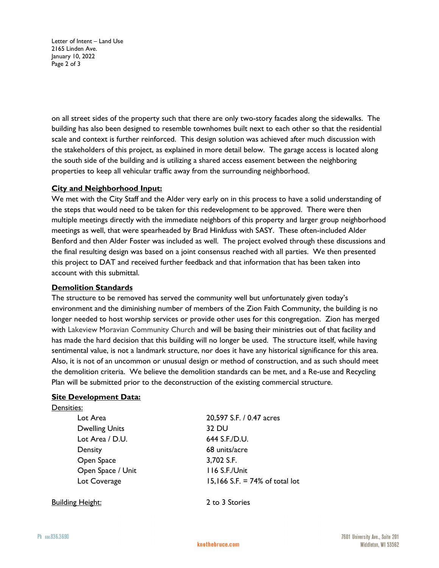Letter of Intent – Land Use 2165 Linden Ave. January 10, 2022 Page 2 of 3

on all street sides of the property such that there are only two-story facades along the sidewalks. The building has also been designed to resemble townhomes built next to each other so that the residential scale and context is further reinforced. This design solution was achieved after much discussion with the stakeholders of this project, as explained in more detail below. The garage access is located along the south side of the building and is utilizing a shared access easement between the neighboring properties to keep all vehicular traffic away from the surrounding neighborhood.

# **City and Neighborhood Input:**

We met with the City Staff and the Alder very early on in this process to have a solid understanding of the steps that would need to be taken for this redevelopment to be approved. There were then multiple meetings directly with the immediate neighbors of this property and larger group neighborhood meetings as well, that were spearheaded by Brad Hinkfuss with SASY. These often-included Alder Benford and then Alder Foster was included as well. The project evolved through these discussions and the final resulting design was based on a joint consensus reached with all parties. We then presented this project to DAT and received further feedback and that information that has been taken into account with this submittal.

## **Demolition Standards**

The structure to be removed has served the community well but unfortunately given today's environment and the diminishing number of members of the Zion Faith Community, the building is no longer needed to host worship services or provide other uses for this congregation. Zion has merged with Lakeview Moravian Community Church and will be basing their ministries out of that facility and has made the hard decision that this building will no longer be used. The structure itself, while having sentimental value, is not a landmark structure, nor does it have any historical significance for this area. Also, it is not of an uncommon or unusual design or method of construction, and as such should meet the demolition criteria. We believe the demolition standards can be met, and a Re-use and Recycling Plan will be submitted prior to the deconstruction of the existing commercial structure.

## **Site Development Data:**

| Densities:            |                                   |
|-----------------------|-----------------------------------|
| Lot Area              | 20,597 S.F. / 0.47 acres          |
| <b>Dwelling Units</b> | 32 DU                             |
| Lot Area / D.U.       | 644 S.F./D.U.                     |
| Density               | 68 units/acre                     |
| Open Space            | 3,702 S.F.                        |
| Open Space / Unit     | 116 S.F./Unit                     |
| Lot Coverage          | 15,166 S.F. = $74\%$ of total lot |
|                       |                                   |

Building Height: 2 to 3 Stories